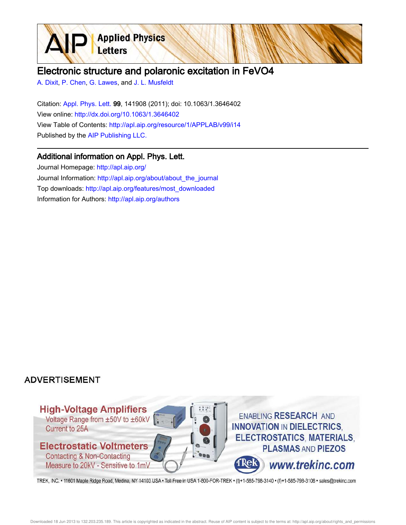

## Electronic structure and polaronic excitation in FeVO4

A. Dixit, P. Chen, G. Lawes, and J. L. Musfeldt

Citation: Appl. Phys. Lett. 99, 141908 (2011); doi: 10.1063/1.3646402 View online: http://dx.doi.org/10.1063/1.3646402 View Table of Contents: http://apl.aip.org/resource/1/APPLAB/v99/i14 Published by the AIP Publishing LLC.

## Additional information on Appl. Phys. Lett.

Journal Homepage: http://apl.aip.org/ Journal Information: http://apl.aip.org/about/about\_the\_journal Top downloads: http://apl.aip.org/features/most\_downloaded Information for Authors: http://apl.aip.org/authors

## **ADVERTISEMENT**



TREK, INC. • 11601 Maple Ridge Road, Medina, NY 14103 USA • Toll Free in USA 1-800-FOR-TREK • (t)+1-585-798-3140 • (f)+1-585-798-3106 • sales@trekinc.com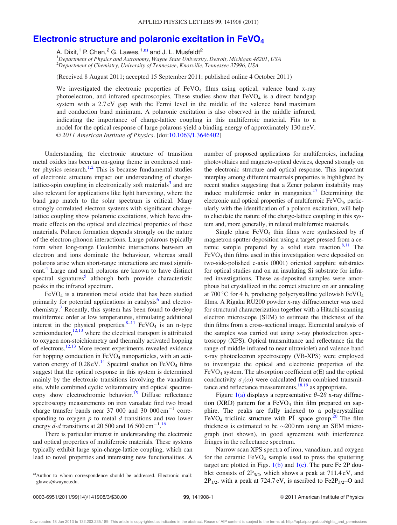## Electronic structure and polaronic excitation in FeVO<sup>4</sup>

A. Dixit,<sup>1</sup> P. Chen,<sup>2</sup> G. Lawes,<sup>1,a)</sup> and J. L. Musfeldt<sup>2</sup>

 $1$ Department of Physics and Astronomy, Wayne State University, Detroit, Michigan 48201, USA  $^{2}$ Department of Chemistry, University of Tennessee, Knoxville, Tennessee 37996, USA

(Received 8 August 2011; accepted 15 September 2011; published online 4 October 2011)

We investigated the electronic properties of  $FeVO<sub>4</sub>$  films using optical, valence band x-ray photoelectron, and infrared spectroscopies. These studies show that  $FeVO<sub>4</sub>$  is a direct bandgap system with a 2.7 eV gap with the Fermi level in the middle of the valence band maximum and conduction band minimum. A polaronic excitation is also observed in the middle infrared, indicating the importance of charge-lattice coupling in this multiferroic material. Fits to a model for the optical response of large polarons yield a binding energy of approximately 130 meV. V<sup>C</sup> 2011 American Institute of Physics. [doi:10.1063/1.3646402]

Understanding the electronic structure of transition metal oxides has been an on-going theme in condensed matter physics research.<sup>1,2</sup> This is because fundamental studies of electronic structure impact our understanding of chargelattice-spin coupling in electronically soft materials<sup>3</sup> and are also relevant for applications like light harvesting, where the band gap match to the solar spectrum is critical. Many strongly correlated electron systems with significant chargelattice coupling show polaronic excitations, which have dramatic effects on the optical and electrical properties of these materials. Polaron formation depends strongly on the nature of the electron-phonon interactions. Large polarons typically form when long-range Coulombic interactions between an electron and ions dominate the behaviour, whereas small polarons arise when short-range interactions are most significant.<sup>4</sup> Large and small polarons are known to have distinct spectral signatures<sup>5</sup> although both provide characteristic peaks in the infrared spectrum.

 $FeVO<sub>4</sub>$  is a transition metal oxide that has been studied primarily for potential applications in catalysis<sup>6</sup> and electrochemistry.<sup>7</sup> Recently, this system has been found to develop multiferroic order at low temperatures, stimulating additional interest in the physical properties.<sup>8–11</sup> FeVO<sub>4</sub> is an n-type semiconductor, $12,13$  where the electrical transport is attributed to oxygen non-stoichiometry and thermally activated hopping of electrons.12,13 More recent experiments revealed evidence for hopping conduction in  $FeVO<sub>4</sub>$  nanoparticles, with an activation energy of  $0.28 \text{ eV}$ .<sup>14</sup> Spectral studies on FeVO<sub>4</sub> films suggest that the optical response in this system is determined mainly by the electronic transitions involving the vanadium site, while combined cyclic voltammetry and optical spectroscopy show electrochromic behavior.<sup>15</sup> Diffuse reflectance spectroscopy measurements on iron vanadate find two broad charge transfer bands near 37 000 and 30  $000 \text{ cm}^{-1}$  corresponding to oxygen  $p$  to metal  $d$  transitions and two lower energy  $d$ - $d$  transitions at 20 500 and 16 500 cm<sup>-1</sup>.<sup>16</sup>

There is particular interest in understanding the electronic and optical properties of multiferroic materials. These systems typically exhibit large spin-charge-lattice coupling, which can lead to novel properties and interesting new functionalities. A number of proposed applications for multiferroics, including photovoltaics and magneto-optical devices, depend strongly on the electronic structure and optical response. This important interplay among different materials properties is highlighted by recent studies suggesting that a Zener polaron instability may induce multiferroic order in manganites.<sup>17</sup> Determining the electronic and optical properties of multiferroic FeVO<sub>4</sub>, particularly with the identification of a polaron excitation, will help to elucidate the nature of the charge-lattice coupling in this system and, more generally, in related multiferroic materials.

Single phase  $FeVO<sub>4</sub>$  thin films were synthesized by rf magnetron sputter deposition using a target pressed from a ceramic sample prepared by a solid state reaction. $8,11$  The  $FeVO<sub>4</sub>$  thin films used in this investigation were deposited on two-side-polished c-axis (0001) oriented sapphire substrates for optical studies and on an insulating Si substrate for infrared investigations. These as-deposited samples were amorphous but crystallized in the correct structure on air annealing at 700 °C for 4 h, producing polycrystalline yellowish  $FeVO<sub>4</sub>$ films. A Rigaku RU200 powder x-ray diffractometer was used for structural characterization together with a Hitachi scanning electron microscope (SEM) to estimate the thickness of the thin films from a cross-sectional image. Elemental analysis of the samples was carried out using x-ray photoelectron spectroscopy (XPS). Optical transmittance and reflectance (in the range of middle infrared to near ultraviolet) and valence band x-ray photoelectron spectroscopy (VB-XPS) were employed to investigate the optical and electronic properties of the FeVO<sub>4</sub> system. The absorption coefficient  $\alpha(E)$  and the optical conductivity  $\sigma_1(\omega)$  were calculated from combined transmittance and reflectance measurements, $18,19$  as appropriate.

Figure 1(a) displays a representative  $\theta$ –2 $\theta$  x-ray diffraction (XRD) pattern for a  $FeVO<sub>4</sub>$  thin film prepared on sapphire. The peaks are fully indexed to a polycrystalline FeVO<sub>4</sub> triclinic structure with  $\overline{PI}$  space group.<sup>20</sup> The film thickness is estimated to be  $\sim$ 200 nm using an SEM micrograph (not shown), in good agreement with interference fringes in the reflectance spectrum.

Narrow scan XPS spectra of iron, vanadium, and oxygen for the ceramic  $FeVO<sub>4</sub>$  sample used to press the sputtering target are plotted in Figs.  $1(b)$  and  $1(c)$ . The pure Fe 2P doublet consists of  $2P_{3/2}$ , which shows a peak at 711.4 eV, and  $2P_{1/2}$ , with a peak at 724.7 eV, is ascribed to Fe2P<sub>3/2</sub>–O and

a)Author to whom correspondence should be addressed. Electronic mail: glawes@wayne.edu.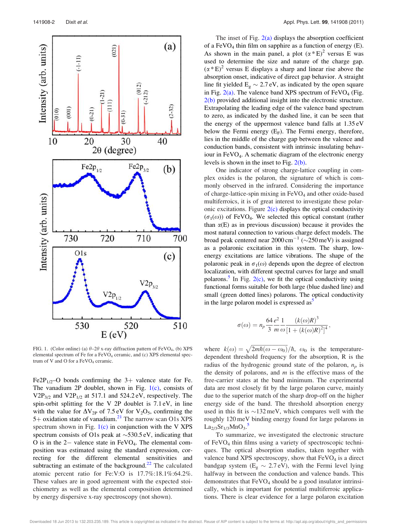

FIG. 1. (Color online) (a)  $\theta$ –2 $\theta$  x-ray diffraction pattern of FeVO<sub>4</sub>, (b) XPS elemental spectrum of Fe for a FeVO<sub>4</sub> ceramic, and (c) XPS elemental spectrum of V and O for a  $FeVO<sub>4</sub>$  ceramic.

Fe2P<sub>1/2</sub>–O bonds confirming the 3+ valence state for Fe. The vanadium 2P doublet, shown in Fig.  $1(c)$ , consists of  $V2P_{3/2}$  and  $V2P_{1/2}$  at 517.1 and 524.2 eV, respectively. The spin-orbit splitting for the V 2P doublet is 7.1 eV, in line with the value for  $\Delta V_{2P}$  of 7.5 eV for  $V_2O_5$ , confirming the 5+ oxidation state of vanadium.<sup>21</sup> The narrow scan O1s XPS spectrum shown in Fig.  $1(c)$  in conjunction with the V XPS spectrum consists of O1s peak at  $\sim$ 530.5 eV, indicating that O is in the  $2-$  valence state in  $FeVO<sub>4</sub>$ . The elemental composition was estimated using the standard expression, correcting for the different elemental sensitivities and subtracting an estimate of the background. $22$  The calculated atomic percent ratio for Fe:V:O is 17.7%:18.1%:64.2%. These values are in good agreement with the expected stoichiometry as well as the elemental composition determined by energy dispersive x-ray spectroscopy (not shown).

The inset of Fig.  $2(a)$  displays the absorption coefficient of a  $FeVO<sub>4</sub>$  thin film on sapphire as a function of energy (E). As shown in the main panel, a plot  $(\alpha * E)^2$  versus E was used to determine the size and nature of the charge gap.  $(\alpha * E)^2$  versus E displays a sharp and linear rise above the absorption onset, indicative of direct gap behavior. A straight line fit yielded  $E_g \sim 2.7 \text{ eV}$ , as indicated by the open square in Fig.  $2(a)$ . The valence band XPS spectrum of FeVO<sub>4</sub> (Fig. 2(b) provided additional insight into the electronic structure. Extrapolating the leading edge of the valence band spectrum to zero, as indicated by the dashed line, it can be seen that the energy of the uppermost valence band falls at 1.35 eV below the Fermi energy  $(E_F)$ . The Fermi energy, therefore, lies in the middle of the charge gap between the valence and conduction bands, consistent with intrinsic insulating behaviour in FeVO4. A schematic diagram of the electronic energy levels is shown in the inset to Fig.  $2(b)$ .

One indicator of strong charge-lattice coupling in complex oxides is the polaron, the signature of which is commonly observed in the infrared. Considering the importance of charge-lattice-spin mixing in  $FeVO<sub>4</sub>$  and other oxide-based multiferroics, it is of great interest to investigate these polaronic excitations. Figure  $2(c)$  displays the optical conductivity  $(\sigma_1(\omega))$  of FeVO<sub>4</sub>. We selected this optical constant (rather than  $\alpha(E)$  as in previous discussion) because it provides the most natural connection to various charge defect models. The broad peak centered near  $2000 \text{ cm}^{-1}$  ( $\sim$ 250 meV) is assigned as a polaronic excitation in this system. The sharp, lowenergy excitations are lattice vibrations. The shape of the polaronic peak in  $\sigma_1(\omega)$  depends upon the degree of electron localization, with different spectral curves for large and small polarons.<sup>5</sup> In Fig.  $2(c)$ , we fit the optical conductivity using functional forms suitable for both large (blue dashed line) and small (green dotted lines) polarons. The optical conductivity in the large polaron model is expressed  $as<sup>3</sup>$ 

$$
\sigma(\omega) = n_p \frac{64 e^2}{3} \frac{1}{m} \frac{\left(k(\omega)R\right)^3}{\left[1 + \left(k(\omega)R\right)^2\right]^4},
$$

where  $k(\omega) = \sqrt{2m\hbar(\omega - \omega_0)}/\hbar$ ,  $\omega_0$  is the temperaturedependent threshold frequency for the absorption, R is the radius of the hydrogenic ground state of the polaron,  $n_p$  is the density of polarons, and  $m$  is the effective mass of the free-carrier states at the band minimum. The experimental data are most closely fit by the large polaron curve, mainly due to the superior match of the sharp drop-off on the higher energy side of the band. The threshold absorption energy used in this fit is  $\sim$ 132 meV, which compares well with the roughly 120 meV binding energy found for large polarons in  $La_{2/3}Sr_{1/3}MnO_3.$ <sup>5</sup>

To summarize, we investigated the electronic structure of FeVO<sub>4</sub> thin films using a variety of spectroscopic techniques. The optical absorption studies, taken together with valence band XPS spectroscopy, show that  $FeVO<sub>4</sub>$  is a direct bandgap system ( $E_g \sim 2.7 \text{ eV}$ ), with the Fermi level lying halfway in between the conduction and valence bands. This demonstrates that  $FeVO<sub>4</sub>$  should be a good insulator intrinsically, which is important for potential multiferroic applications. There is clear evidence for a large polaron excitation